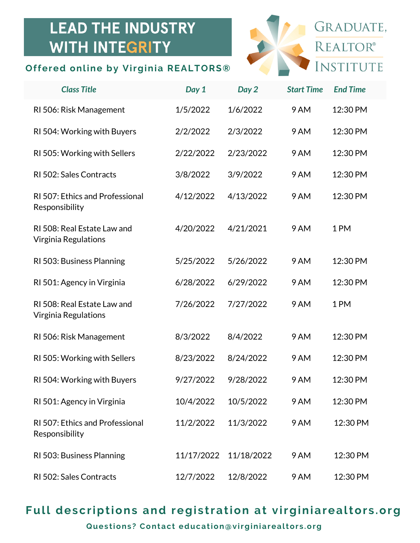## **LEAD THE INDUSTRY WITH INTEGRITY**

## **Offered online by Virginia REALTORS®**



| <b>Class Title</b>                                       | Day 1      | Day 2      | <b>Start Time</b> | <b>End Time</b> |
|----------------------------------------------------------|------------|------------|-------------------|-----------------|
| RI 506: Risk Management                                  | 1/5/2022   | 1/6/2022   | 9 AM              | 12:30 PM        |
| RI 504: Working with Buyers                              | 2/2/2022   | 2/3/2022   | 9 AM              | 12:30 PM        |
| RI 505: Working with Sellers                             | 2/22/2022  | 2/23/2022  | 9 AM              | 12:30 PM        |
| RI 502: Sales Contracts                                  | 3/8/2022   | 3/9/2022   | 9 AM              | 12:30 PM        |
| RI 507: Ethics and Professional<br>Responsibility        | 4/12/2022  | 4/13/2022  | 9 AM              | 12:30 PM        |
| RI 508: Real Estate Law and<br>Virginia Regulations      | 4/20/2022  | 4/21/2021  | 9 AM              | 1PM             |
| RI 503: Business Planning                                | 5/25/2022  | 5/26/2022  | 9 AM              | 12:30 PM        |
| RI 501: Agency in Virginia                               | 6/28/2022  | 6/29/2022  | 9 AM              | 12:30 PM        |
| RI 508: Real Estate Law and<br>Virginia Regulations      | 7/26/2022  | 7/27/2022  | 9 AM              | 1PM             |
| RI 506: Risk Management                                  | 8/3/2022   | 8/4/2022   | 9 AM              | 12:30 PM        |
| RI 505: Working with Sellers                             | 8/23/2022  | 8/24/2022  | 9 AM              | 12:30 PM        |
| RI 504: Working with Buyers                              | 9/27/2022  | 9/28/2022  | 9 AM              | 12:30 PM        |
| RI 501: Agency in Virginia                               | 10/4/2022  | 10/5/2022  | 9 AM              | 12:30 PM        |
| <b>RI 507: Ethics and Professional</b><br>Responsibility | 11/2/2022  | 11/3/2022  | 9 AM              | 12:30 PM        |
| RI 503: Business Planning                                | 11/17/2022 | 11/18/2022 | 9 AM              | 12:30 PM        |
| RI 502: Sales Contracts                                  | 12/7/2022  | 12/8/2022  | 9 AM              | 12:30 PM        |

## **Full descriptions and regi s tration at virginiarealtor s .org**

**Ques tions ? Contact education@virginiarealtor s .org**